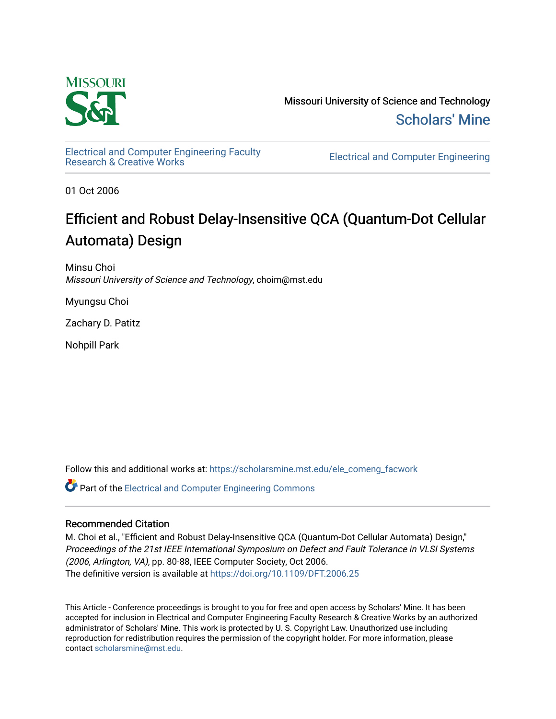

Missouri University of Science and Technology [Scholars' Mine](https://scholarsmine.mst.edu/) 

[Electrical and Computer Engineering Faculty](https://scholarsmine.mst.edu/ele_comeng_facwork)

**Electrical and Computer Engineering** 

01 Oct 2006

# Efficient and Robust Delay-Insensitive QCA (Quantum-Dot Cellular Automata) Design

Minsu Choi Missouri University of Science and Technology, choim@mst.edu

Myungsu Choi

Zachary D. Patitz

Nohpill Park

Follow this and additional works at: [https://scholarsmine.mst.edu/ele\\_comeng\\_facwork](https://scholarsmine.mst.edu/ele_comeng_facwork?utm_source=scholarsmine.mst.edu%2Fele_comeng_facwork%2F1575&utm_medium=PDF&utm_campaign=PDFCoverPages)

**C** Part of the Electrical and Computer Engineering Commons

#### Recommended Citation

M. Choi et al., "Efficient and Robust Delay-Insensitive QCA (Quantum-Dot Cellular Automata) Design," Proceedings of the 21st IEEE International Symposium on Defect and Fault Tolerance in VLSI Systems (2006, Arlington, VA), pp. 80-88, IEEE Computer Society, Oct 2006. The definitive version is available at <https://doi.org/10.1109/DFT.2006.25>

This Article - Conference proceedings is brought to you for free and open access by Scholars' Mine. It has been accepted for inclusion in Electrical and Computer Engineering Faculty Research & Creative Works by an authorized administrator of Scholars' Mine. This work is protected by U. S. Copyright Law. Unauthorized use including reproduction for redistribution requires the permission of the copyright holder. For more information, please contact [scholarsmine@mst.edu](mailto:scholarsmine@mst.edu).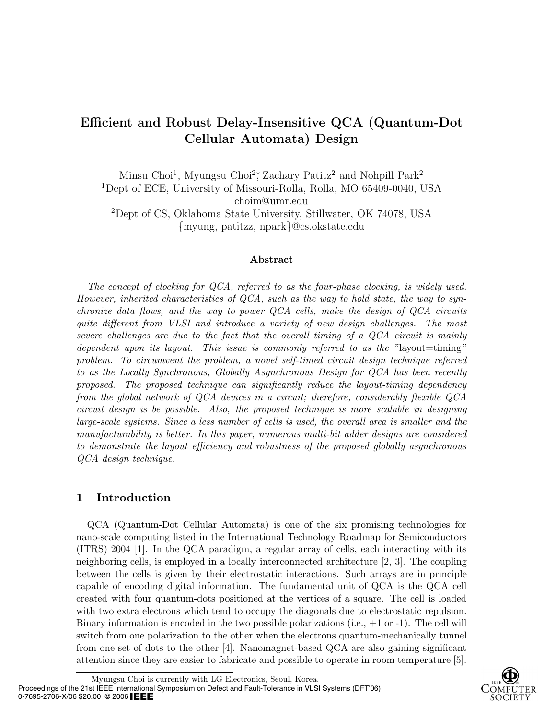# **Efficient and Robust Delay-Insensitive QCA (Quantum-Dot Cellular Automata) Design**

Minsu Choi<sup>1</sup>, Myungsu Choi<sup>2</sup><sup>\*</sup>, Zachary Patitz<sup>2</sup> and Nohpill Park<sup>2</sup> <sup>1</sup>Dept of ECE, University of Missouri-Rolla, Rolla, MO 65409-0040, USA choim@umr.edu <sup>2</sup>Dept of CS, Oklahoma State University, Stillwater, OK 74078, USA

{myung, patitzz, npark}@cs.okstate.edu

#### **Abstract**

The concept of clocking for QCA, referred to as the four-phase clocking, is widely used. However, inherited characteristics of  $QCA$ , such as the way to hold state, the way to synchronize data flows, and the way to power QCA cells, make the design of QCA circuits quite different from VLSI and introduce a variety of new design challenges. The most severe challenges are due to the fact that the overall timing of a QCA circuit is mainly dependent upon its layout. This issue is commonly referred to as the "layout=timing" problem. To circumvent the problem, a novel self-timed circuit design technique referred to as the Locally Synchronous, Globally Asynchronous Design for QCA has been recently proposed. The proposed technique can significantly reduce the layout-timing dependency from the global network of QCA devices in a circuit; therefore, considerably flexible QCA circuit design is be possible. Also, the proposed technique is more scalable in designing large-scale systems. Since a less number of cells is used, the overall area is smaller and the manufacturability is better. In this paper, numerous multi-bit adder designs are considered to demonstrate the layout efficiency and robustness of the proposed globally asynchronous QCA design technique.

# **1 Introduction**

QCA (Quantum-Dot Cellular Automata) is one of the six promising technologies for nano-scale computing listed in the International Technology Roadmap for Semiconductors (ITRS) 2004 [1]. In the QCA paradigm, a regular array of cells, each interacting with its neighboring cells, is employed in a locally interconnected architecture [2, 3]. The coupling between the cells is given by their electrostatic interactions. Such arrays are in principle capable of encoding digital information. The fundamental unit of QCA is the QCA cell created with four quantum-dots positioned at the vertices of a square. The cell is loaded with two extra electrons which tend to occupy the diagonals due to electrostatic repulsion. Binary information is encoded in the two possible polarizations (i.e., +1 or -1). The cell will switch from one polarization to the other when the electrons quantum-mechanically tunnel from one set of dots to the other [4]. Nanomagnet-based QCA are also gaining significant attention since they are easier to fabricate and possible to operate in room temperature [5].

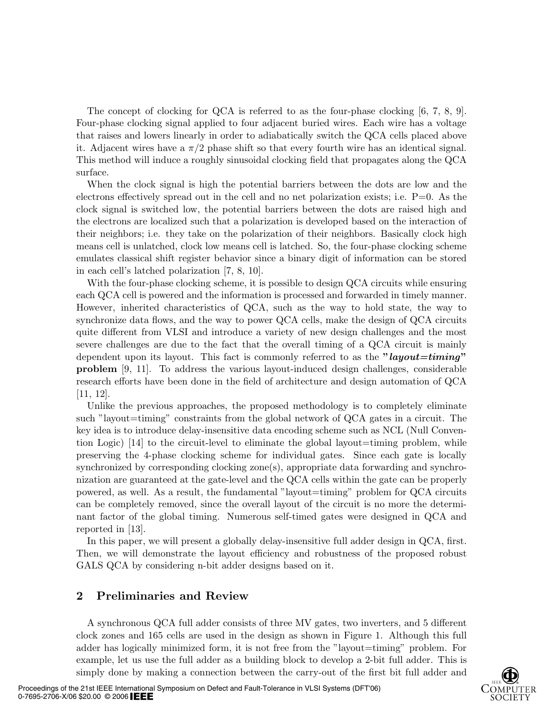The concept of clocking for QCA is referred to as the four-phase clocking [6, 7, 8, 9]. Four-phase clocking signal applied to four adjacent buried wires. Each wire has a voltage that raises and lowers linearly in order to adiabatically switch the QCA cells placed above it. Adjacent wires have a  $\pi/2$  phase shift so that every fourth wire has an identical signal. This method will induce a roughly sinusoidal clocking field that propagates along the QCA surface.

When the clock signal is high the potential barriers between the dots are low and the electrons effectively spread out in the cell and no net polarization exists; i.e.  $P=0$ . As the clock signal is switched low, the potential barriers between the dots are raised high and the electrons are localized such that a polarization is developed based on the interaction of their neighbors; i.e. they take on the polarization of their neighbors. Basically clock high means cell is unlatched, clock low means cell is latched. So, the four-phase clocking scheme emulates classical shift register behavior since a binary digit of information can be stored in each cell's latched polarization [7, 8, 10].

With the four-phase clocking scheme, it is possible to design QCA circuits while ensuring each QCA cell is powered and the information is processed and forwarded in timely manner. However, inherited characteristics of QCA, such as the way to hold state, the way to synchronize data flows, and the way to power QCA cells, make the design of QCA circuits quite different from VLSI and introduce a variety of new design challenges and the most severe challenges are due to the fact that the overall timing of a QCA circuit is mainly dependent upon its layout. This fact is commonly referred to as the **"***layout=timing***" problem** [9, 11]. To address the various layout-induced design challenges, considerable research efforts have been done in the field of architecture and design automation of QCA [11, 12].

Unlike the previous approaches, the proposed methodology is to completely eliminate such "layout=timing" constraints from the global network of QCA gates in a circuit. The key idea is to introduce delay-insensitive data encoding scheme such as NCL (Null Convention Logic) [14] to the circuit-level to eliminate the global layout=timing problem, while preserving the 4-phase clocking scheme for individual gates. Since each gate is locally synchronized by corresponding clocking zone(s), appropriate data forwarding and synchronization are guaranteed at the gate-level and the QCA cells within the gate can be properly powered, as well. As a result, the fundamental "layout=timing" problem for QCA circuits can be completely removed, since the overall layout of the circuit is no more the determinant factor of the global timing. Numerous self-timed gates were designed in QCA and reported in [13].

In this paper, we will present a globally delay-insensitive full adder design in QCA, first. Then, we will demonstrate the layout efficiency and robustness of the proposed robust GALS QCA by considering n-bit adder designs based on it.

### **2 Preliminaries and Review**

A synchronous QCA full adder consists of three MV gates, two inverters, and 5 different clock zones and 165 cells are used in the design as shown in Figure 1. Although this full adder has logically minimized form, it is not free from the "layout=timing" problem. For example, let us use the full adder as a building block to develop a 2-bit full adder. This is simply done by making a connection between the carry-out of the first bit full adder and

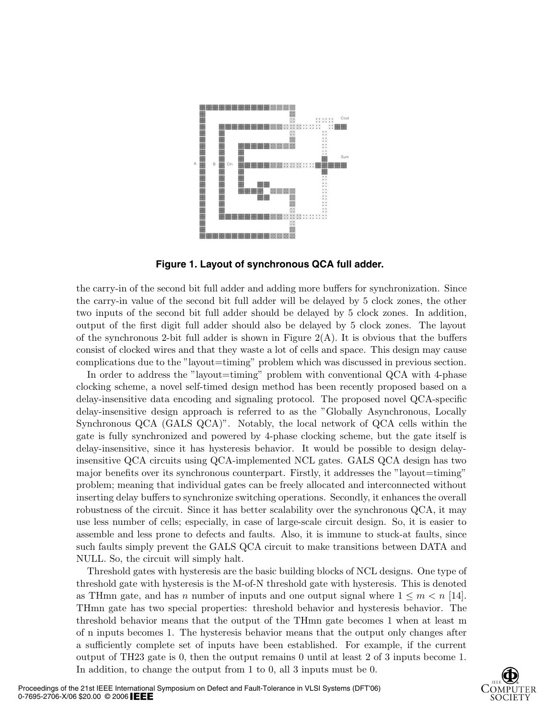

**Figure 1. Layout of synchronous QCA full adder.**

the carry-in of the second bit full adder and adding more buffers for synchronization. Since the carry-in value of the second bit full adder will be delayed by 5 clock zones, the other two inputs of the second bit full adder should be delayed by 5 clock zones. In addition, output of the first digit full adder should also be delayed by 5 clock zones. The layout of the synchronous 2-bit full adder is shown in Figure  $2(A)$ . It is obvious that the buffers consist of clocked wires and that they waste a lot of cells and space. This design may cause complications due to the "layout=timing" problem which was discussed in previous section.

In order to address the "layout=timing" problem with conventional QCA with 4-phase clocking scheme, a novel self-timed design method has been recently proposed based on a delay-insensitive data encoding and signaling protocol. The proposed novel QCA-specific delay-insensitive design approach is referred to as the "Globally Asynchronous, Locally Synchronous QCA (GALS QCA)". Notably, the local network of QCA cells within the gate is fully synchronized and powered by 4-phase clocking scheme, but the gate itself is delay-insensitive, since it has hysteresis behavior. It would be possible to design delayinsensitive QCA circuits using QCA-implemented NCL gates. GALS QCA design has two major benefits over its synchronous counterpart. Firstly, it addresses the "layout=timing" problem; meaning that individual gates can be freely allocated and interconnected without inserting delay buffers to synchronize switching operations. Secondly, it enhances the overall robustness of the circuit. Since it has better scalability over the synchronous QCA, it may use less number of cells; especially, in case of large-scale circuit design. So, it is easier to assemble and less prone to defects and faults. Also, it is immune to stuck-at faults, since such faults simply prevent the GALS QCA circuit to make transitions between DATA and NULL. So, the circuit will simply halt.

Threshold gates with hysteresis are the basic building blocks of NCL designs. One type of threshold gate with hysteresis is the M-of-N threshold gate with hysteresis. This is denoted as THmn gate, and has n number of inputs and one output signal where  $1 \leq m \leq n$  [14]. THmn gate has two special properties: threshold behavior and hysteresis behavior. The threshold behavior means that the output of the THmn gate becomes 1 when at least m of n inputs becomes 1. The hysteresis behavior means that the output only changes after a sufficiently complete set of inputs have been established. For example, if the current output of TH23 gate is 0, then the output remains 0 until at least 2 of 3 inputs become 1. In addition, to change the output from 1 to 0, all 3 inputs must be 0.

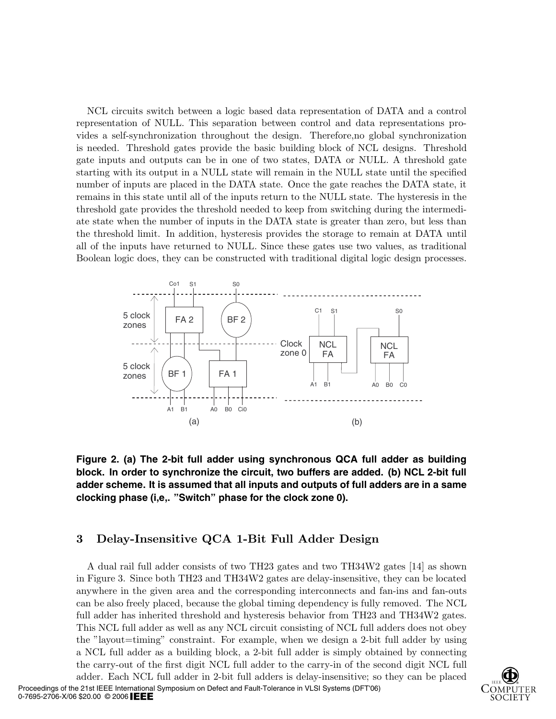NCL circuits switch between a logic based data representation of DATA and a control representation of NULL. This separation between control and data representations provides a self-synchronization throughout the design. Therefore,no global synchronization is needed. Threshold gates provide the basic building block of NCL designs. Threshold gate inputs and outputs can be in one of two states, DATA or NULL. A threshold gate starting with its output in a NULL state will remain in the NULL state until the specified number of inputs are placed in the DATA state. Once the gate reaches the DATA state, it remains in this state until all of the inputs return to the NULL state. The hysteresis in the threshold gate provides the threshold needed to keep from switching during the intermediate state when the number of inputs in the DATA state is greater than zero, but less than the threshold limit. In addition, hysteresis provides the storage to remain at DATA until all of the inputs have returned to NULL. Since these gates use two values, as traditional Boolean logic does, they can be constructed with traditional digital logic design processes.



**Figure 2. (a) The 2-bit full adder using synchronous QCA full adder as building block. In order to synchronize the circuit, two buffers are added. (b) NCL 2-bit full adder scheme. It is assumed that all inputs and outputs of full adders are in a same clocking phase (i,e,. "Switch" phase for the clock zone 0).**

# **3 Delay-Insensitive QCA 1-Bit Full Adder Design**

A dual rail full adder consists of two TH23 gates and two TH34W2 gates [14] as shown in Figure 3. Since both TH23 and TH34W2 gates are delay-insensitive, they can be located anywhere in the given area and the corresponding interconnects and fan-ins and fan-outs can be also freely placed, because the global timing dependency is fully removed. The NCL full adder has inherited threshold and hysteresis behavior from TH23 and TH34W2 gates. This NCL full adder as well as any NCL circuit consisting of NCL full adders does not obey the "layout=timing" constraint. For example, when we design a 2-bit full adder by using a NCL full adder as a building block, a 2-bit full adder is simply obtained by connecting the carry-out of the first digit NCL full adder to the carry-in of the second digit NCL full

adder. Each NCL full adder in 2-bit full adders is delay-insensitive; so they can be placed Proceedings of the 21st IEEE International Symposium on Defect and Fault-Tolerance in VLSI Systems (DFT'06) 0-7695-2706-X/06 \$20.00 © 2006 EEE

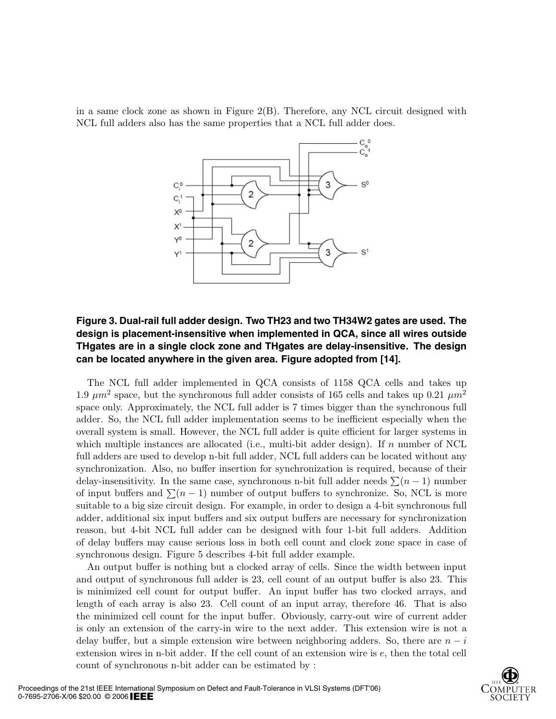in a same clock zone as shown in Figure  $2(B)$ . Therefore, any NCL circuit designed with NCL full adders also has the same properties that a NCL full adder does.



# **Figure 3. Dual-rail full adder design. Two TH23 and two TH34W2 gates are used. The design is placement-insensitive when implemented in QCA, since all wires outside THgates are in a single clock zone and THgates are delay-insensitive. The design can be located anywhere in the given area. Figure adopted from [14].**

The NCL full adder implemented in QCA consists of 1158 QCA cells and takes up 1.9  $\mu m^2$  space, but the synchronous full adder consists of 165 cells and takes up 0.21  $\mu m^2$ space only. Approximately, the NCL full adder is 7 times bigger than the synchronous full adder. So, the NCL full adder implementation seems to be inefficient especially when the overall system is small. However, the NCL full adder is quite efficient for larger systems in which multiple instances are allocated (i.e., multi-bit adder design). If  $n$  number of NCL full adders are used to develop n-bit full adder, NCL full adders can be located without any synchronization. Also, no buffer insertion for synchronization is required, because of their delay-insensitivity. In the same case, synchronous n-bit full adder needs  $\sum (n-1)$  number of input buffers and  $\sum (n - 1)$  number of output buffers to synchronize. So, NCL is more suitable to a big size circuit design. For example, in order to design a 4-bit synchronous full adder, additional six input buffers and six output buffers are necessary for synchronization reason, but 4-bit NCL full adder can be designed with four 1-bit full adders. Addition of delay buffers may cause serious loss in both cell count and clock zone space in case of synchronous design. Figure 5 describes 4-bit full adder example.

An output buffer is nothing but a clocked array of cells. Since the width between input and output of synchronous full adder is 23, cell count of an output buffer is also 23. This is minimized cell count for output buffer. An input buffer has two clocked arrays, and length of each array is also 23. Cell count of an input array, therefore 46. That is also the minimized cell count for the input buffer. Obviously, carry-out wire of current adder is only an extension of the carry-in wire to the next adder. This extension wire is not a delay buffer, but a simple extension wire between neighboring adders. So, there are  $n-i$ extension wires in n-bit adder. If the cell count of an extension wire is e, then the total cell count of synchronous n-bit adder can be estimated by :

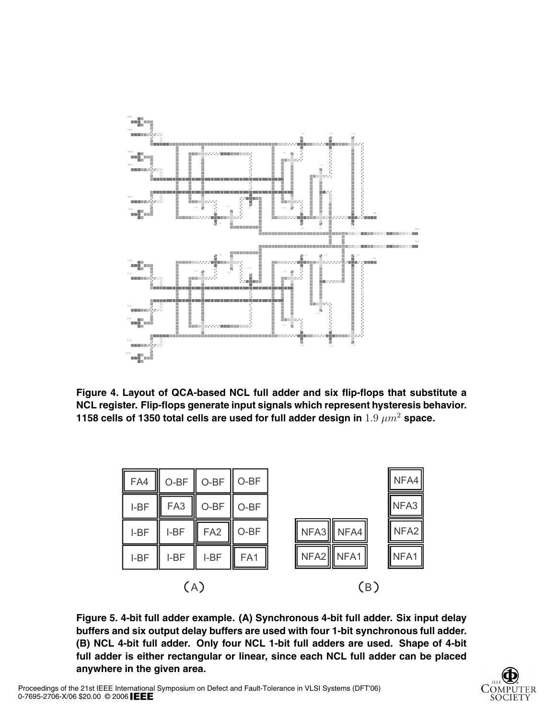

**Figure 4. Layout of QCA-based NCL full adder and six flip-flops that substitute a NCL register. Flip-flops generate input signals which represent hysteresis behavior. 1158 cells of 1350 total cells are used for full adder design in** 1.9 μm<sup>2</sup> **space.**



**Figure 5. 4-bit full adder example. (A) Synchronous 4-bit full adder. Six input delay buffers and six output delay buffers are used with four 1-bit synchronous full adder. (B) NCL 4-bit full adder. Only four NCL 1-bit full adders are used. Shape of 4-bit full adder is either rectangular or linear, since each NCL full adder can be placed anywhere in the given area.**

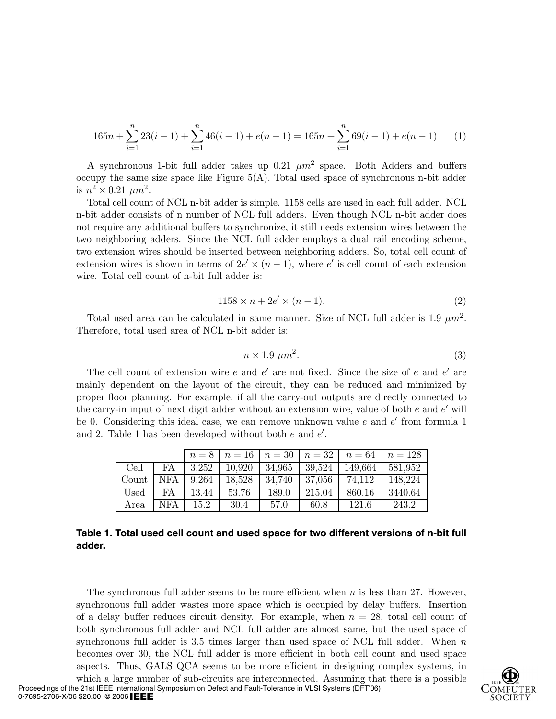$$
165n + \sum_{i=1}^{n} 23(i-1) + \sum_{i=1}^{n} 46(i-1) + e(n-1) = 165n + \sum_{i=1}^{n} 69(i-1) + e(n-1) \tag{1}
$$

A synchronous 1-bit full adder takes up 0.21  $\mu m^2$  space. Both Adders and buffers occupy the same size space like Figure  $5(A)$ . Total used space of synchronous n-bit adder is  $n^2 \times 0.21 \ \mu m^2$ .

Total cell count of NCL n-bit adder is simple. 1158 cells are used in each full adder. NCL n-bit adder consists of n number of NCL full adders. Even though NCL n-bit adder does not require any additional buffers to synchronize, it still needs extension wires between the two neighboring adders. Since the NCL full adder employs a dual rail encoding scheme, two extension wires should be inserted between neighboring adders. So, total cell count of extension wires is shown in terms of  $2e' \times (n-1)$ , where e' is cell count of each extension wire. Total cell count of n-bit full adder is:

$$
1158 \times n + 2e' \times (n-1). \tag{2}
$$

Total used area can be calculated in same manner. Size of NCL full adder is 1.9  $\mu m^2$ . Therefore, total used area of NCL n-bit adder is:

$$
n \times 1.9 \ \mu m^2. \tag{3}
$$

The cell count of extension wire e and  $e'$  are not fixed. Since the size of e and  $e'$  are mainly dependent on the layout of the circuit, they can be reduced and minimized by proper floor planning. For example, if all the carry-out outputs are directly connected to the carry-in input of next digit adder without an extension wire, value of both  $e$  and  $e'$  will be 0. Considering this ideal case, we can remove unknown value e and  $e'$  from formula 1 and 2. Table 1 has been developed without both  $e$  and  $e'$ .

|           |     |              |             |       |        | $n = 8$   $n = 16$   $n = 30$   $n = 32$   $n = 64$   $n = 128$                      |         |
|-----------|-----|--------------|-------------|-------|--------|--------------------------------------------------------------------------------------|---------|
| Cell      | FA. |              |             |       |        | $\mid$ 3,252 $\mid$ 10,920 $\mid$ 34,965 $\mid$ 39,524 $\mid$ 149,664 $\mid$ 581,952 |         |
| Count NFA |     |              |             |       |        | $\mid 9.264 \mid 18.528 \mid 34.740 \mid 37.056 \mid 74.112 \mid$                    | 148.224 |
| Used      | FA  |              | 13.44 53.76 | 189.0 | 215.04 | 860.16                                                                               | 3440.64 |
| Area      | NFA | $\vert$ 15.2 | -30.4       | 57.0  | 60.8   | 121.6                                                                                | 243.2   |

#### **Table 1. Total used cell count and used space for two different versions of n-bit full adder.**

The synchronous full adder seems to be more efficient when  $n$  is less than 27. However, synchronous full adder wastes more space which is occupied by delay buffers. Insertion of a delay buffer reduces circuit density. For example, when  $n = 28$ , total cell count of both synchronous full adder and NCL full adder are almost same, but the used space of synchronous full adder is 3.5 times larger than used space of NCL full adder. When  $n$ becomes over 30, the NCL full adder is more efficient in both cell count and used space aspects. Thus, GALS QCA seems to be more efficient in designing complex systems, in which a large number of sub-circuits are interconnected. Assuming that there is a possible

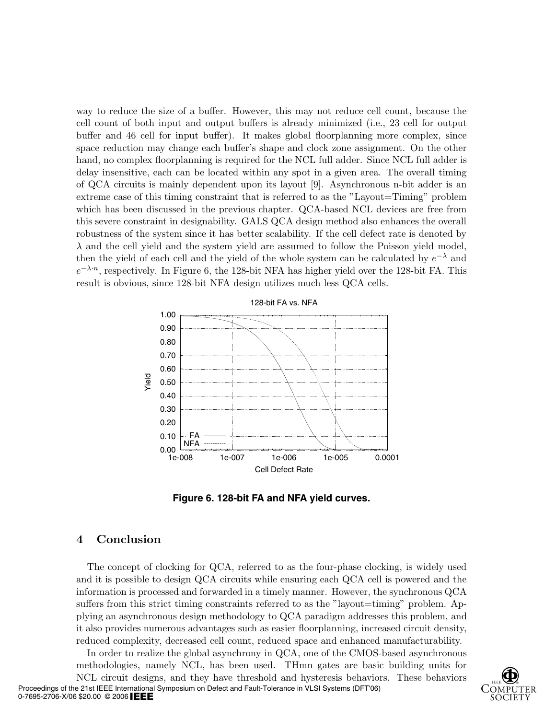way to reduce the size of a buffer. However, this may not reduce cell count, because the cell count of both input and output buffers is already minimized (i.e., 23 cell for output buffer and 46 cell for input buffer). It makes global floorplanning more complex, since space reduction may change each buffer's shape and clock zone assignment. On the other hand, no complex floorplanning is required for the NCL full adder. Since NCL full adder is delay insensitive, each can be located within any spot in a given area. The overall timing of QCA circuits is mainly dependent upon its layout [9]. Asynchronous n-bit adder is an extreme case of this timing constraint that is referred to as the "Layout=Timing" problem which has been discussed in the previous chapter. QCA-based NCL devices are free from this severe constraint in designability. GALS QCA design method also enhances the overall robustness of the system since it has better scalability. If the cell defect rate is denoted by  $\lambda$  and the cell yield and the system yield are assumed to follow the Poisson yield model, then the yield of each cell and the yield of the whole system can be calculated by  $e^{-\lambda}$  and  $e^{-\lambda n}$ , respectively. In Figure 6, the 128-bit NFA has higher yield over the 128-bit FA. This result is obvious, since 128-bit NFA design utilizes much less QCA cells.



**Figure 6. 128-bit FA and NFA yield curves.**

## **4 Conclusion**

The concept of clocking for QCA, referred to as the four-phase clocking, is widely used and it is possible to design QCA circuits while ensuring each QCA cell is powered and the information is processed and forwarded in a timely manner. However, the synchronous QCA suffers from this strict timing constraints referred to as the "layout=timing" problem. Applying an asynchronous design methodology to QCA paradigm addresses this problem, and it also provides numerous advantages such as easier floorplanning, increased circuit density, reduced complexity, decreased cell count, reduced space and enhanced manufacturability.

In order to realize the global asynchrony in QCA, one of the CMOS-based asynchronous methodologies, namely NCL, has been used. THmn gates are basic building units for NCL circuit designs, and they have threshold and hysteresis behaviors. These behaviors



Proceedings of the 21st IEEE International Symposium on Defect and Fault-Tolerance in VLSI Systems (DFT'06) 0-7695-2706-X/06 \$20.00 © 2006 EEE